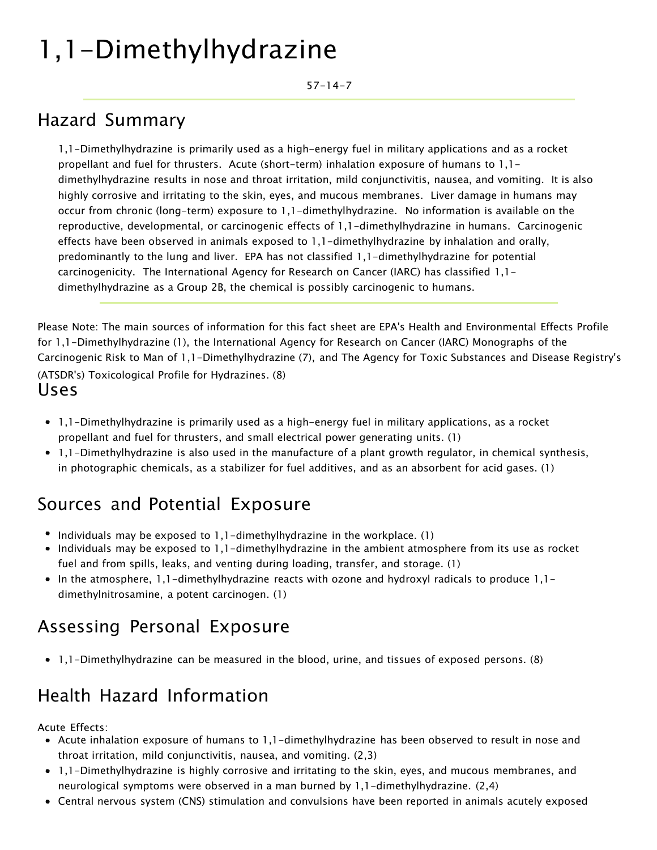# 1,1-Dimethylhydrazine

57-14-7

#### Hazard Summary

1,1-Dimethylhydrazine is primarily used as a high-energy fuel in military applications and as a rocket propellant and fuel for thrusters. Acute (short-term) inhalation exposure of humans to 1,1 dimethylhydrazine results in nose and throat irritation, mild conjunctivitis, nausea, and vomiting. It is also highly corrosive and irritating to the skin, eyes, and mucous membranes. Liver damage in humans may occur from chronic (long-term) exposure to 1,1-dimethylhydrazine. No information is available on the reproductive, developmental, or carcinogenic effects of 1,1-dimethylhydrazine in humans. Carcinogenic effects have been observed in animals exposed to 1,1-dimethylhydrazine by inhalation and orally, predominantly to the lung and liver. EPA has not classified 1,1-dimethylhydrazine for potential carcinogenicity. The International Agency for Research on Cancer (IARC) has classified 1,1 dimethylhydrazine as a Group 2B, the chemical is possibly carcinogenic to humans.

Please Note: The main sources of information for this fact sheet are EPA's Health and Environmental Effects Profile for 1,1-Dimethylhydrazine (1), the International Agency for Research on Cancer (IARC) Monographs of the Carcinogenic Risk to Man of 1,1-Dimethylhydrazine (7), and The Agency for Toxic Substances and Disease Registry's (ATSDR's) Toxicological Profile for Hydrazines. (8) Uses

- 1,1-Dimethylhydrazine is primarily used as a high-energy fuel in military applications, as a rocket propellant and fuel for thrusters, and small electrical power generating units. (1)
- 1,1-Dimethylhydrazine is also used in the manufacture of a plant growth regulator, in chemical synthesis, in photographic chemicals, as a stabilizer for fuel additives, and as an absorbent for acid gases. (1)

#### Sources and Potential Exposure

- Individuals may be exposed to  $1,1$ -dimethylhydrazine in the workplace. (1)
- Individuals may be exposed to 1,1-dimethylhydrazine in the ambient atmosphere from its use as rocket fuel and from spills, leaks, and venting during loading, transfer, and storage. (1)
- In the atmosphere, 1,1-dimethylhydrazine reacts with ozone and hydroxyl radicals to produce 1,1dimethylnitrosamine, a potent carcinogen. (1)

#### Assessing Personal Exposure

1,1-Dimethylhydrazine can be measured in the blood, urine, and tissues of exposed persons. (8)

### Health Hazard Information

Acute Effects:

- Acute inhalation exposure of humans to 1,1-dimethylhydrazine has been observed to result in nose and throat irritation, mild conjunctivitis, nausea, and vomiting. (2,3)
- 1,1-Dimethylhydrazine is highly corrosive and irritating to the skin, eyes, and mucous membranes, and neurological symptoms were observed in a man burned by 1,1-dimethylhydrazine. (2,4)
- Central nervous system (CNS) stimulation and convulsions have been reported in animals acutely exposed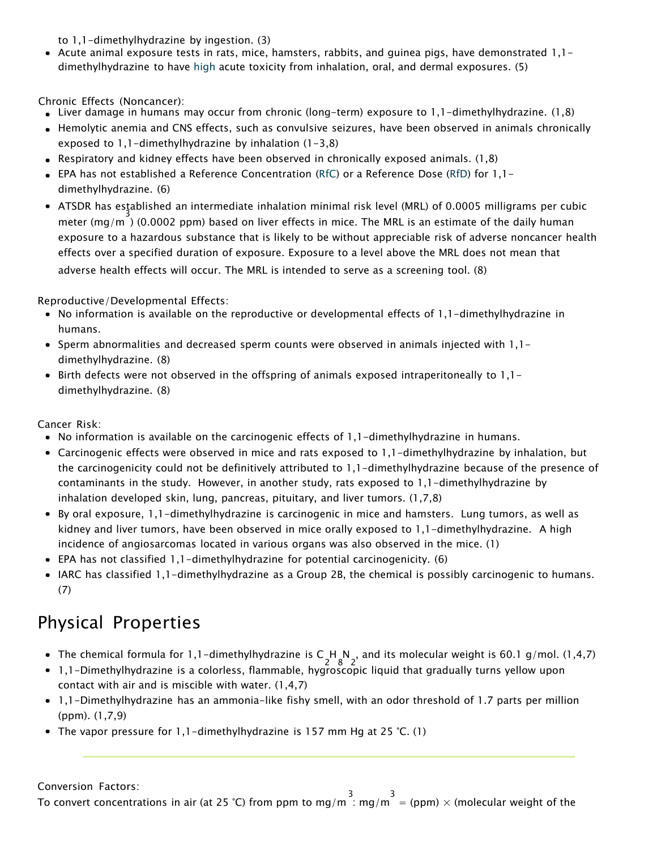to 1,1-dimethylhydrazine by ingestion. (3)

Acute animal exposure tests in rats, mice, hamsters, rabbits, and guinea pigs, have demonstrated 1,1 dimethylhydrazine to have [high](https://www.epa.gov/haps/about-health-effects-fact-sheets) acute toxicity from inhalation, oral, and dermal exposures. (5)

Chronic Effects (Noncancer):

- Liver damage in humans may occur from chronic (long-term) exposure to 1,1-dimethylhydrazine. (1,8)
- Hemolytic anemia and CNS effects, such as convulsive seizures, have been observed in animals chronically exposed to 1,1-dimethylhydrazine by inhalation (1-3,8)
- Respiratory and kidney effects have been observed in chronically exposed animals. (1,8)
- EPA has not established a Reference Concentration [\(RfC\)](https://www.epa.gov/haps/health-effects-notebook-glossary) or a Reference Dose [\(RfD\)](https://www.epa.gov/haps/health-effects-notebook-glossary) for 1,1 dimethylhydrazine. (6)
- ATSDR has established an intermediate inhalation minimal risk level (MRL) of 0.0005 milligrams per cubic 3 meter (mg/m ) (0.0002 ppm) based on liver effects in mice. The MRL is an estimate of the daily human exposure to a hazardous substance that is likely to be without appreciable risk of adverse noncancer health effects over a specified duration of exposure. Exposure to a level above the MRL does not mean that adverse health effects will occur. The MRL is intended to serve as a screening tool. (8)

Reproductive/Developmental Effects:

- No information is available on the reproductive or developmental effects of 1,1-dimethylhydrazine in humans.
- Sperm abnormalities and decreased sperm counts were observed in animals injected with 1,1dimethylhydrazine. (8)
- Birth defects were not observed in the offspring of animals exposed intraperitoneally to 1,1– dimethylhydrazine. (8)

Cancer Risk:

- No information is available on the carcinogenic effects of 1,1-dimethylhydrazine in humans.
- Carcinogenic effects were observed in mice and rats exposed to 1,1-dimethylhydrazine by inhalation, but the carcinogenicity could not be definitively attributed to 1,1-dimethylhydrazine because of the presence of contaminants in the study. However, in another study, rats exposed to 1,1-dimethylhydrazine by inhalation developed skin, lung, pancreas, pituitary, and liver tumors. (1,7,8)
- By oral exposure, 1,1-dimethylhydrazine is carcinogenic in mice and hamsters. Lung tumors, as well as kidney and liver tumors, have been observed in mice orally exposed to 1,1-dimethylhydrazine. A high incidence of angiosarcomas located in various organs was also observed in the mice. (1)
- EPA has not classified 1,1-dimethylhydrazine for potential carcinogenicity. (6)
- IARC has classified 1,1-dimethylhydrazine as a Group 2B, the chemical is possibly carcinogenic to humans. (7)

#### Physical Properties

- The chemical formula for 1,1-dimethylhydrazine is  $C_1H_8N_2$ , and its molecular weight is 60.1 g/mol. (1,4,7)
- 1,1-Dimethylhydrazine is a colorless, flammable, hygroscopic liquid that gradually turns yellow upon contact with air and is miscible with water. (1,4,7)
- 1,1-Dimethylhydrazine has an ammonia-like fishy smell, with an odor threshold of 1.7 parts per million (ppm). (1,7,9)
- The vapor pressure for  $1,1$ -dimethylhydrazine is 157 mm Hg at 25 °C. (1)

Conversion Factors:

To convert concentrations in air (at 25 °C) from ppm to mg/m  $\frac{3}{1}$  mg/m  $\frac{3}{1}$  = (ppm)  $\times$  (molecular weight of the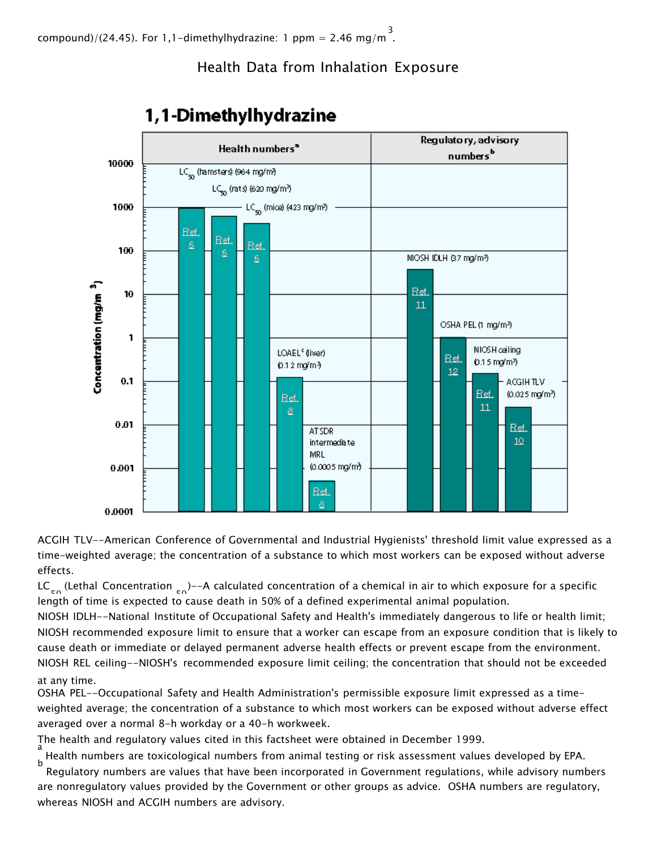#### Health Data from Inhalation Exposure



## 1,1-Dimethylhydrazine

ACGIH TLV--American Conference of Governmental and Industrial Hygienists' threshold limit value expressed as a time-weighted average; the concentration of a substance to which most workers can be exposed without adverse effects.

length of time is expected to cause death in 50% of a defined experimental animal population. LC<sub>ro</sub> (Lethal Concentration  $_{\text{ro}}$ )--A calculated concentration of a chemical in air to which exposure for a specific

NIOSH IDLH--National Institute of Occupational Safety and Health's immediately dangerous to life or health limit; NIOSH recommended exposure limit to ensure that a worker can escape from an exposure condition that is likely to cause death or immediate or delayed permanent adverse health effects or prevent escape from the environment. NIOSH REL ceiling--NIOSH's recommended exposure limit ceiling; the concentration that should not be exceeded at any time.

OSHA PEL--Occupational Safety and Health Administration's permissible exposure limit expressed as a timeweighted average; the concentration of a substance to which most workers can be exposed without adverse effect averaged over a normal 8-h workday or a 40-h workweek.

The health and regulatory values cited in this factsheet were obtained in December 1999.

Health numbers are toxicological numbers from animal testing or risk assessment values developed by EPA. b

Regulatory numbers are values that have been incorporated in Government regulations, while advisory numbers are nonregulatory values provided by the Government or other groups as advice. OSHA numbers are regulatory, whereas NIOSH and ACGIH numbers are advisory.